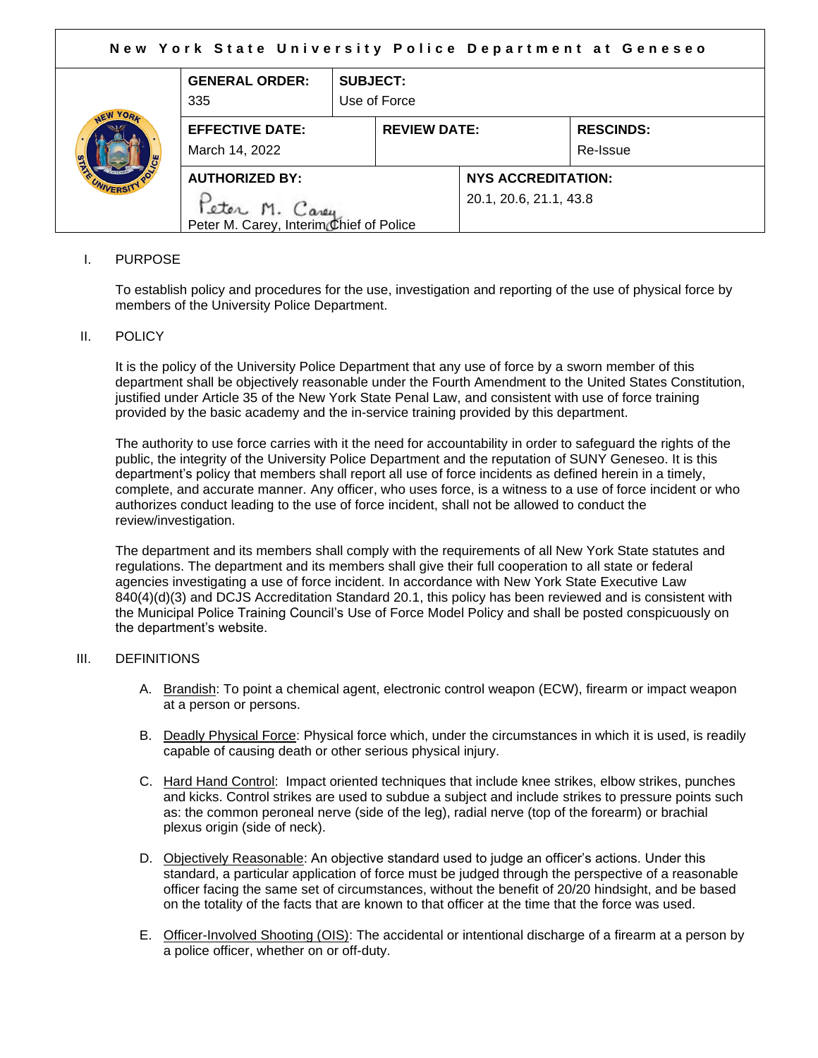**New York State University Police Department at Geneseo** 

| <b>ORL</b><br>WIVERSIT | <b>GENERAL ORDER:</b><br>335                              | <b>SUBJECT:</b><br>Use of Force |                           |                        |                              |
|------------------------|-----------------------------------------------------------|---------------------------------|---------------------------|------------------------|------------------------------|
|                        | <b>EFFECTIVE DATE:</b><br>March 14, 2022                  |                                 | <b>REVIEW DATE:</b>       |                        | <b>RESCINDS:</b><br>Re-Issue |
|                        | <b>AUTHORIZED BY:</b>                                     |                                 | <b>NYS ACCREDITATION:</b> |                        |                              |
|                        |                                                           |                                 |                           | 20.1, 20.6, 21.1, 43.8 |                              |
|                        | Feter M. Caney<br>Peter M. Carey, Interim Chief of Police |                                 |                           |                        |                              |

# I. PURPOSE

To establish policy and procedures for the use, investigation and reporting of the use of physical force by members of the University Police Department.

#### II. POLICY

It is the policy of the University Police Department that any use of force by a sworn member of this department shall be objectively reasonable under the Fourth Amendment to the United States Constitution, justified under Article 35 of the New York State Penal Law, and consistent with use of force training provided by the basic academy and the in-service training provided by this department.

The authority to use force carries with it the need for accountability in order to safeguard the rights of the public, the integrity of the University Police Department and the reputation of SUNY Geneseo. It is this department's policy that members shall report all use of force incidents as defined herein in a timely, complete, and accurate manner. Any officer, who uses force, is a witness to a use of force incident or who authorizes conduct leading to the use of force incident, shall not be allowed to conduct the review/investigation.

The department and its members shall comply with the requirements of all New York State statutes and regulations. The department and its members shall give their full cooperation to all state or federal agencies investigating a use of force incident. In accordance with New York State Executive Law 840(4)(d)(3) and DCJS Accreditation Standard 20.1, this policy has been reviewed and is consistent with the Municipal Police Training Council's Use of Force Model Policy and shall be posted conspicuously on the department's website.

#### III. DEFINITIONS

- A. Brandish: To point a chemical agent, electronic control weapon (ECW), firearm or impact weapon at a person or persons.
- B. Deadly Physical Force: Physical force which, under the circumstances in which it is used, is readily capable of causing death or other serious physical injury.
- C. Hard Hand Control: Impact oriented techniques that include knee strikes, elbow strikes, punches and kicks. Control strikes are used to subdue a subject and include strikes to pressure points such as: the common peroneal nerve (side of the leg), radial nerve (top of the forearm) or brachial plexus origin (side of neck).
- D. Objectively Reasonable: An objective standard used to judge an officer's actions. Under this standard, a particular application of force must be judged through the perspective of a reasonable officer facing the same set of circumstances, without the benefit of 20/20 hindsight, and be based on the totality of the facts that are known to that officer at the time that the force was used.
- E. Officer-Involved Shooting (OIS): The accidental or intentional discharge of a firearm at a person by a police officer, whether on or off-duty.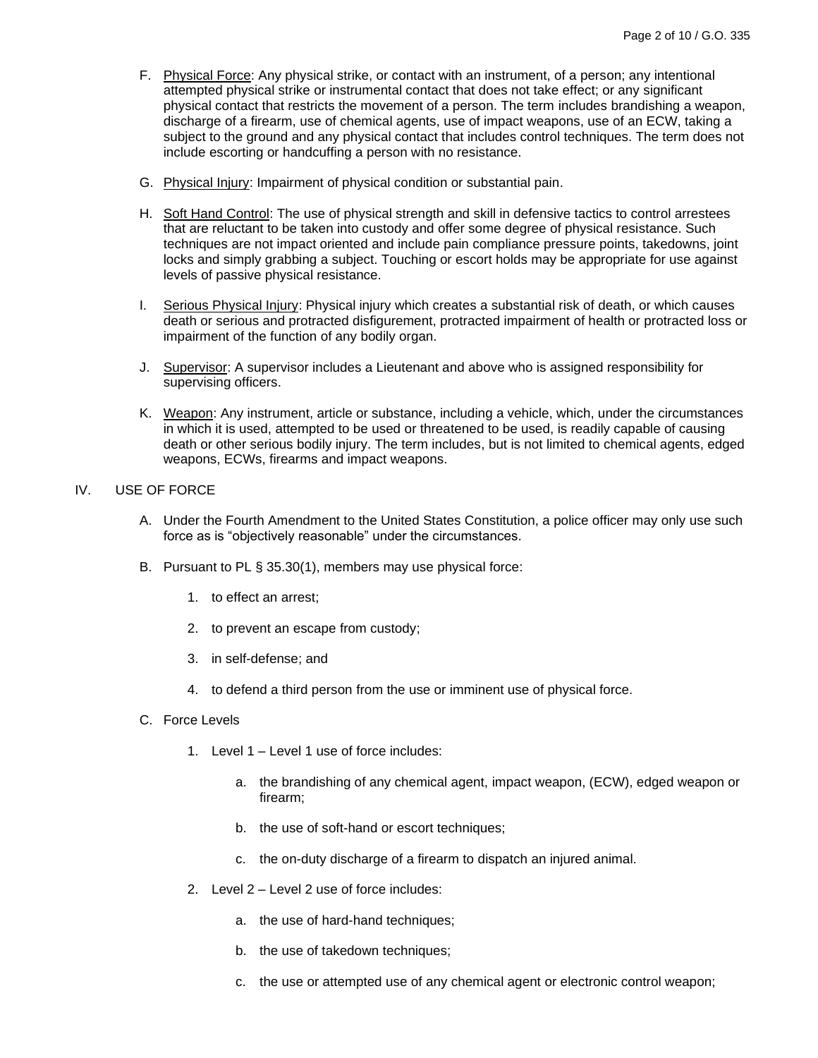- F. Physical Force: Any physical strike, or contact with an instrument, of a person; any intentional attempted physical strike or instrumental contact that does not take effect; or any significant physical contact that restricts the movement of a person. The term includes brandishing a weapon, discharge of a firearm, use of chemical agents, use of impact weapons, use of an ECW, taking a subject to the ground and any physical contact that includes control techniques. The term does not include escorting or handcuffing a person with no resistance.
- G. Physical Injury: Impairment of physical condition or substantial pain.
- H. Soft Hand Control: The use of physical strength and skill in defensive tactics to control arrestees that are reluctant to be taken into custody and offer some degree of physical resistance. Such techniques are not impact oriented and include pain compliance pressure points, takedowns, joint locks and simply grabbing a subject. Touching or escort holds may be appropriate for use against levels of passive physical resistance.
- I. Serious Physical Injury: Physical injury which creates a substantial risk of death, or which causes death or serious and protracted disfigurement, protracted impairment of health or protracted loss or impairment of the function of any bodily organ.
- J. Supervisor: A supervisor includes a Lieutenant and above who is assigned responsibility for supervising officers.
- K. Weapon: Any instrument, article or substance, including a vehicle, which, under the circumstances in which it is used, attempted to be used or threatened to be used, is readily capable of causing death or other serious bodily injury. The term includes, but is not limited to chemical agents, edged weapons, ECWs, firearms and impact weapons.
- IV. USE OF FORCE
	- A. Under the Fourth Amendment to the United States Constitution, a police officer may only use such force as is "objectively reasonable" under the circumstances.
	- B. Pursuant to [PL § 35.30\(1\),](http://public.leginfo.state.ny.us/lawssrch.cgi?NVLWO:) members may use physical force:
		- 1. to effect an arrest;
		- 2. to prevent an escape from custody;
		- 3. in self-defense; and
		- 4. to defend a third person from the use or imminent use of physical force.
	- C. Force Levels
		- 1. Level 1 Level 1 use of force includes:
			- a. the brandishing of any chemical agent, impact weapon, (ECW), edged weapon or firearm;
			- b. the use of soft-hand or escort techniques;
			- c. the on-duty discharge of a firearm to dispatch an injured animal.
		- 2. Level 2 Level 2 use of force includes:
			- a. the use of hard-hand techniques;
			- b. the use of takedown techniques;
			- c. the use or attempted use of any chemical agent or electronic control weapon;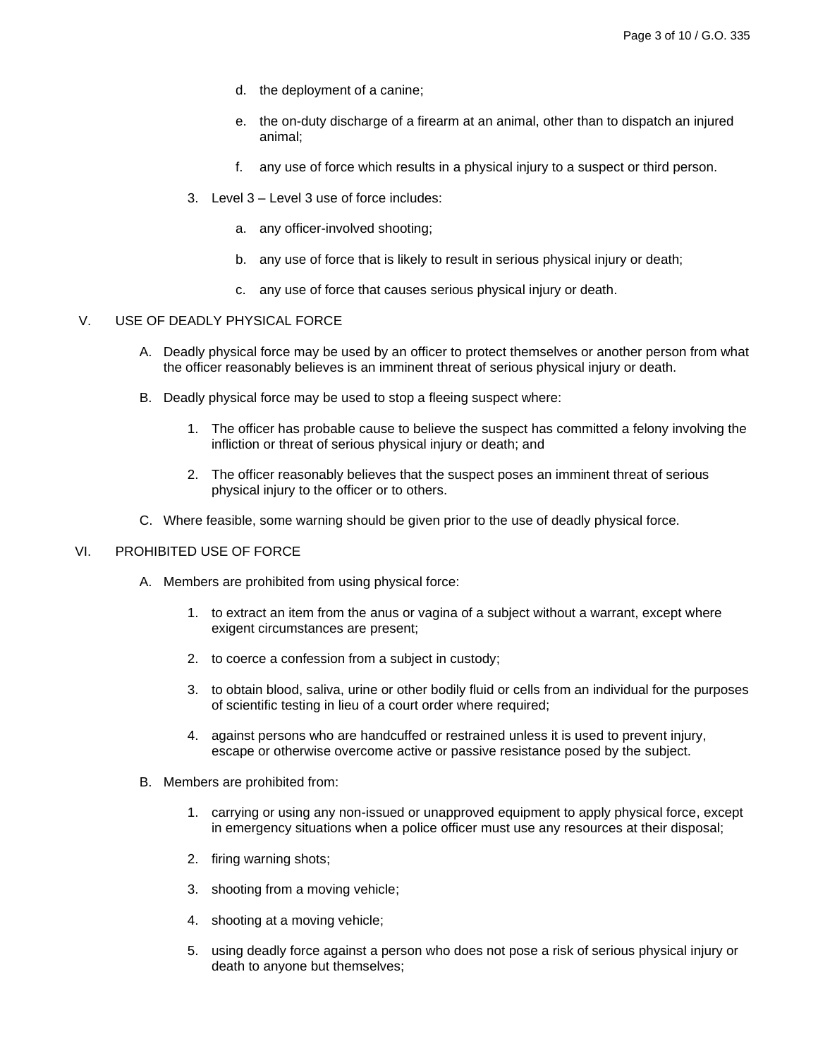- d. the deployment of a canine;
- e. the on-duty discharge of a firearm at an animal, other than to dispatch an injured animal;
- f. any use of force which results in a physical injury to a suspect or third person.
- 3. Level 3 Level 3 use of force includes:
	- a. any officer-involved shooting;
	- b. any use of force that is likely to result in serious physical injury or death;
	- c. any use of force that causes serious physical injury or death.

#### V. USE OF DEADLY PHYSICAL FORCE

- A. Deadly physical force may be used by an officer to protect themselves or another person from what the officer reasonably believes is an imminent threat of serious physical injury or death.
- B. Deadly physical force may be used to stop a fleeing suspect where:
	- 1. The officer has probable cause to believe the suspect has committed a felony involving the infliction or threat of serious physical injury or death; and
	- 2. The officer reasonably believes that the suspect poses an imminent threat of serious physical injury to the officer or to others.
- C. Where feasible, some warning should be given prior to the use of deadly physical force.

### VI. PROHIBITED USE OF FORCE

- A. Members are prohibited from using physical force:
	- 1. to extract an item from the anus or vagina of a subject without a warrant, except where exigent circumstances are present;
	- 2. to coerce a confession from a subject in custody;
	- 3. to obtain blood, saliva, urine or other bodily fluid or cells from an individual for the purposes of scientific testing in lieu of a court order where required;
	- 4. against persons who are handcuffed or restrained unless it is used to prevent injury, escape or otherwise overcome active or passive resistance posed by the subject.
- B. Members are prohibited from:
	- 1. carrying or using any non-issued or unapproved equipment to apply physical force, except in emergency situations when a police officer must use any resources at their disposal;
	- 2. firing warning shots;
	- 3. shooting from a moving vehicle;
	- 4. shooting at a moving vehicle;
	- 5. using deadly force against a person who does not pose a risk of serious physical injury or death to anyone but themselves;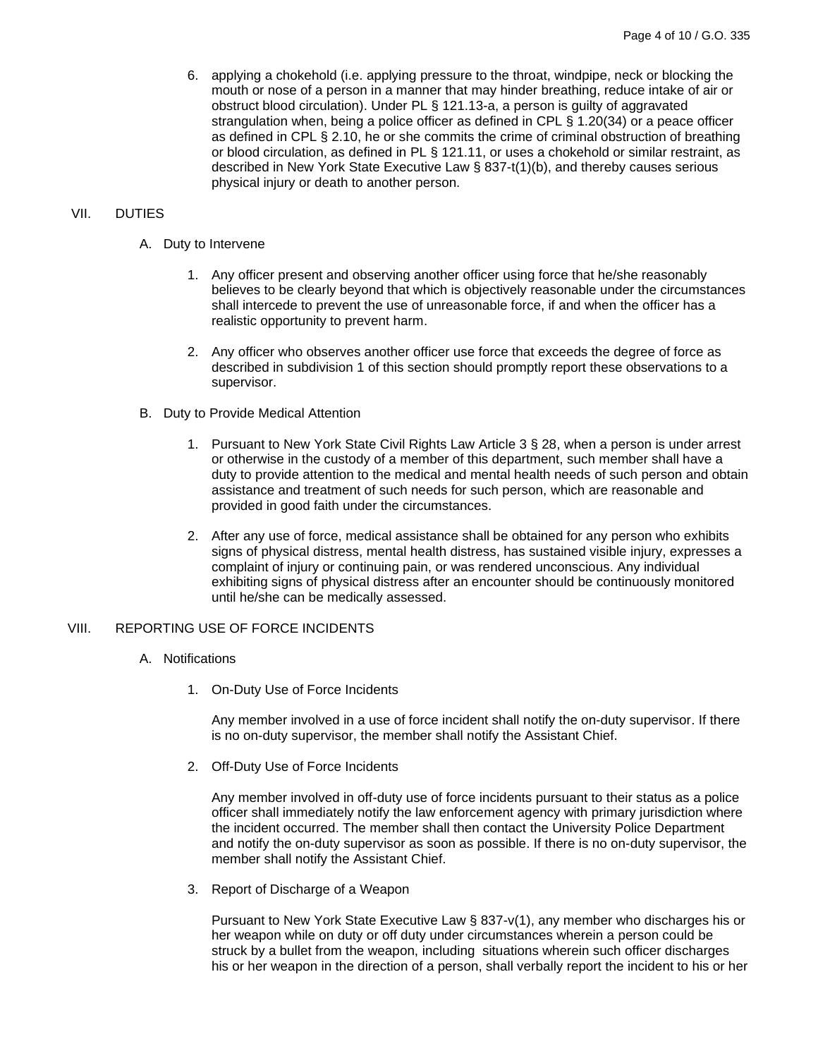6. applying a chokehold (i.e. applying pressure to the throat, windpipe, neck or blocking the mouth or nose of a person in a manner that may hinder breathing, reduce intake of air or obstruct blood circulation). Under PL § 121.13-a, a person is guilty of aggravated strangulation when, being a police officer as defined in CPL § 1.20(34) or a peace officer as defined in CPL § 2.10, he or she commits the crime of criminal obstruction of breathing or blood circulation, as defined in PL § 121.11, or uses a chokehold or similar restraint, as described in New York State Executive Law § 837-t(1)(b), and thereby causes serious physical injury or death to another person.

## VII. DUTIES

- A. Duty to Intervene
	- 1. Any officer present and observing another officer using force that he/she reasonably believes to be clearly beyond that which is objectively reasonable under the circumstances shall intercede to prevent the use of unreasonable force, if and when the officer has a realistic opportunity to prevent harm.
	- 2. Any officer who observes another officer use force that exceeds the degree of force as described in subdivision 1 of this section should promptly report these observations to a supervisor.
- B. Duty to Provide Medical Attention
	- 1. Pursuant to New York State Civil Rights Law Article 3 § 28, when a person is under arrest or otherwise in the custody of a member of this department, such member shall have a duty to provide attention to the medical and mental health needs of such person and obtain assistance and treatment of such needs for such person, which are reasonable and provided in good faith under the circumstances.
	- 2. After any use of force, medical assistance shall be obtained for any person who exhibits signs of physical distress, mental health distress, has sustained visible injury, expresses a complaint of injury or continuing pain, or was rendered unconscious. Any individual exhibiting signs of physical distress after an encounter should be continuously monitored until he/she can be medically assessed.

## VIII. REPORTING USE OF FORCE INCIDENTS

- A. Notifications
	- 1. On-Duty Use of Force Incidents

Any member involved in a use of force incident shall notify the on-duty supervisor. If there is no on-duty supervisor, the member shall notify the Assistant Chief.

2. Off-Duty Use of Force Incidents

Any member involved in off-duty use of force incidents pursuant to their status as a police officer shall immediately notify the law enforcement agency with primary jurisdiction where the incident occurred. The member shall then contact the University Police Department and notify the on-duty supervisor as soon as possible. If there is no on-duty supervisor, the member shall notify the Assistant Chief.

3. Report of Discharge of a Weapon

Pursuant to New York State Executive Law § 837-v(1), any member who discharges his or her weapon while on duty or off duty under circumstances wherein a person could be struck by a bullet from the weapon, including situations wherein such officer discharges his or her weapon in the direction of a person, shall verbally report the incident to his or her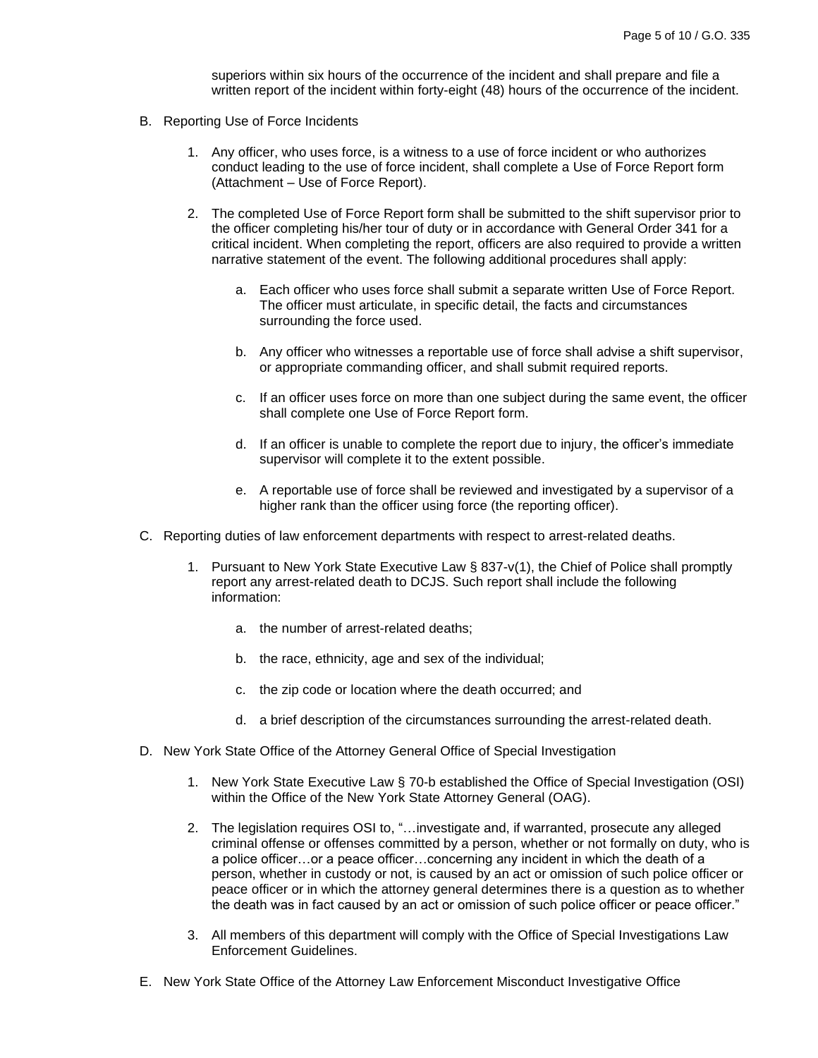superiors within six hours of the occurrence of the incident and shall prepare and file a written report of the incident within forty-eight (48) hours of the occurrence of the incident.

- B. Reporting Use of Force Incidents
	- 1. Any officer, who uses force, is a witness to a use of force incident or who authorizes conduct leading to the use of force incident, shall complete a Use of Force Report form (Attachment – Use of Force Report).
	- 2. The completed Use of Force Report form shall be submitted to the shift supervisor prior to the officer completing his/her tour of duty or in accordance with General Order 341 for a critical incident. When completing the report, officers are also required to provide a written narrative statement of the event. The following additional procedures shall apply:
		- a. Each officer who uses force shall submit a separate written Use of Force Report. The officer must articulate, in specific detail, the facts and circumstances surrounding the force used.
		- b. Any officer who witnesses a reportable use of force shall advise a shift supervisor, or appropriate commanding officer, and shall submit required reports.
		- c. If an officer uses force on more than one subject during the same event, the officer shall complete one Use of Force Report form.
		- d. If an officer is unable to complete the report due to injury, the officer's immediate supervisor will complete it to the extent possible.
		- e. A reportable use of force shall be reviewed and investigated by a supervisor of a higher rank than the officer using force (the reporting officer).
- C. Reporting duties of law enforcement departments with respect to arrest-related deaths.
	- 1. Pursuant to New York State Executive Law § 837-v(1), the Chief of Police shall promptly report any arrest-related death to DCJS. Such report shall include the following information:
		- a. the number of arrest-related deaths;
		- b. the race, ethnicity, age and sex of the individual;
		- c. the zip code or location where the death occurred; and
		- d. a brief description of the circumstances surrounding the arrest-related death.
- D. New York State Office of the Attorney General Office of Special Investigation
	- 1. New York State Executive Law § 70-b established the Office of Special Investigation (OSI) within the Office of the New York State Attorney General (OAG).
	- 2. The legislation requires OSI to, "…investigate and, if warranted, prosecute any alleged criminal offense or offenses committed by a person, whether or not formally on duty, who is a police officer…or a peace officer…concerning any incident in which the death of a person, whether in custody or not, is caused by an act or omission of such police officer or peace officer or in which the attorney general determines there is a question as to whether the death was in fact caused by an act or omission of such police officer or peace officer."
	- 3. All members of this department will comply with the Office of Special Investigations Law Enforcement Guidelines.
- E. New York State Office of the Attorney Law Enforcement Misconduct Investigative Office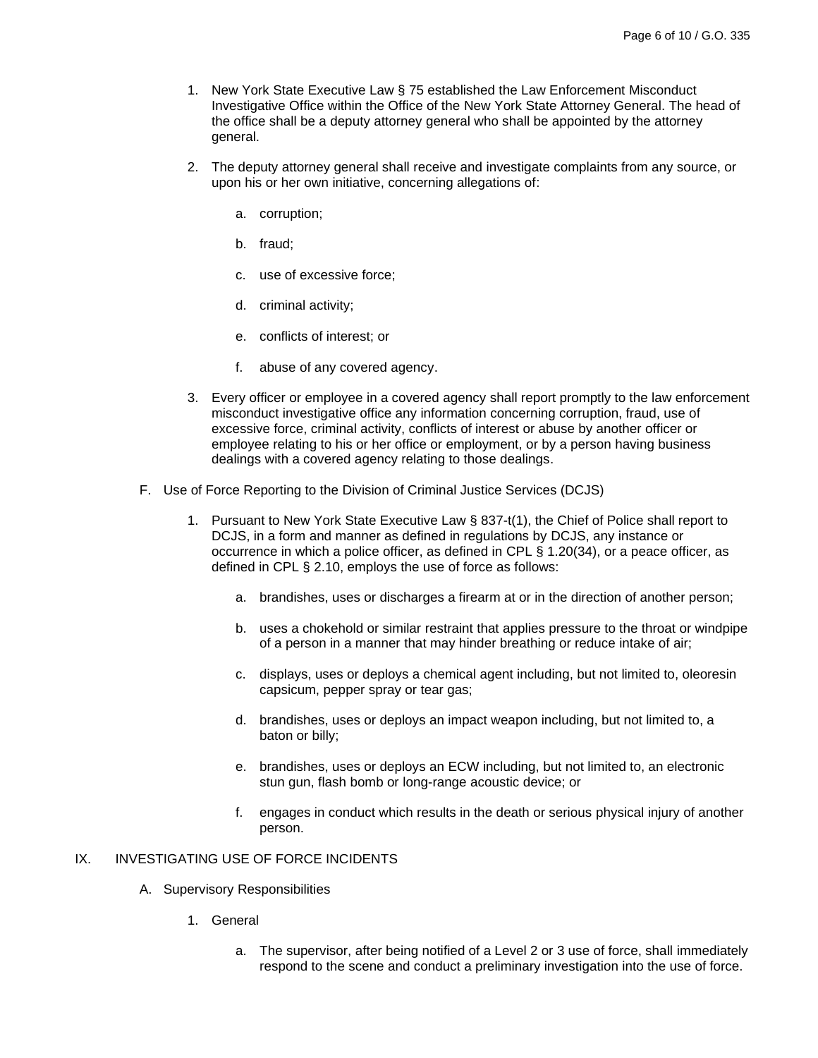- 1. New York State Executive Law § 75 established the Law Enforcement Misconduct Investigative Office within the Office of the New York State Attorney General. The head of the office shall be a deputy attorney general who shall be appointed by the attorney general.
- 2. The deputy attorney general shall receive and investigate complaints from any source, or upon his or her own initiative, concerning allegations of:
	- a. corruption;
	- b. fraud;
	- c. use of excessive force;
	- d. criminal activity;
	- e. conflicts of interest; or
	- f. abuse of any covered agency.
- 3. Every officer or employee in a covered agency shall report promptly to the law enforcement misconduct investigative office any information concerning corruption, fraud, use of excessive force, criminal activity, conflicts of interest or abuse by another officer or employee relating to his or her office or employment, or by a person having business dealings with a covered agency relating to those dealings.
- F. Use of Force Reporting to the Division of Criminal Justice Services (DCJS)
	- 1. Pursuant to New York State Executive Law § 837-t(1), the Chief of Police shall report to DCJS, in a form and manner as defined in regulations by DCJS, any instance or occurrence in which a police officer, as defined in CPL § 1.20(34), or a peace officer, as defined in CPL § 2.10, employs the use of force as follows:
		- a. brandishes, uses or discharges a firearm at or in the direction of another person;
		- b. uses a chokehold or similar restraint that applies pressure to the throat or windpipe of a person in a manner that may hinder breathing or reduce intake of air;
		- c. displays, uses or deploys a chemical agent including, but not limited to, oleoresin capsicum, pepper spray or tear gas;
		- d. brandishes, uses or deploys an impact weapon including, but not limited to, a baton or billy;
		- e. brandishes, uses or deploys an ECW including, but not limited to, an electronic stun gun, flash bomb or long-range acoustic device; or
		- f. engages in conduct which results in the death or serious physical injury of another person.

# IX. INVESTIGATING USE OF FORCE INCIDENTS

- A. Supervisory Responsibilities
	- 1. General
		- a. The supervisor, after being notified of a Level 2 or 3 use of force, shall immediately respond to the scene and conduct a preliminary investigation into the use of force.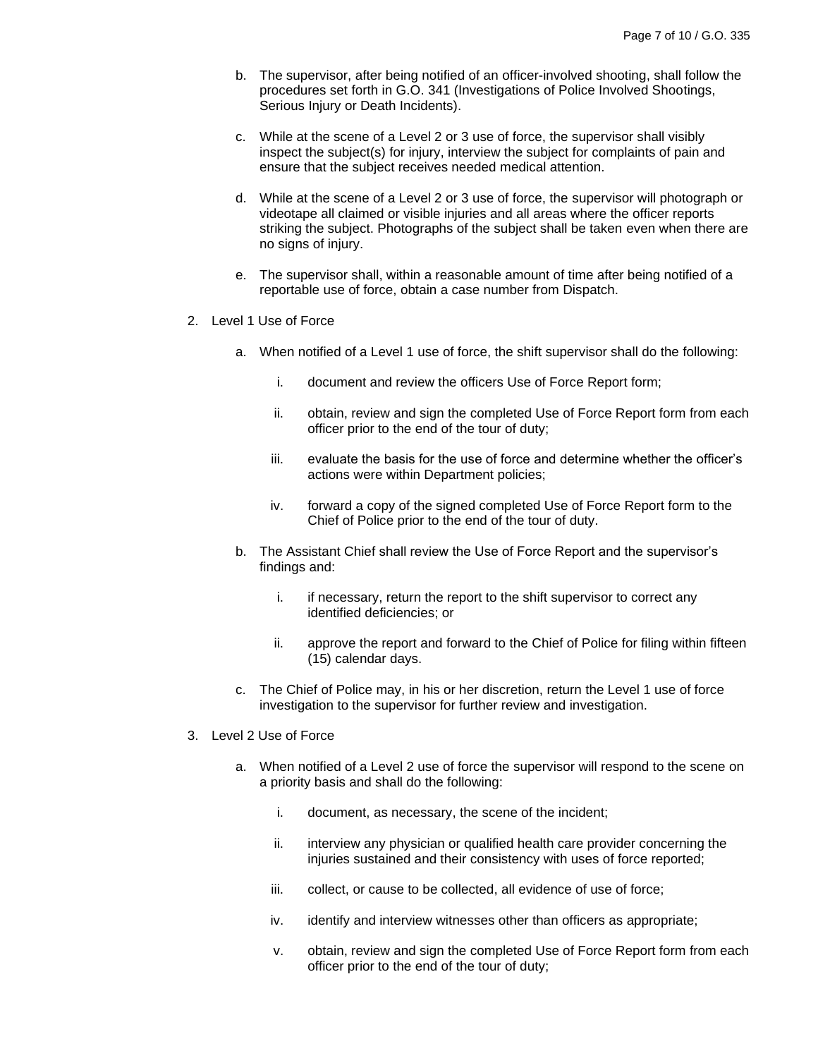- b. The supervisor, after being notified of an officer-involved shooting, shall follow the procedures set forth in G.O. 341 (Investigations of Police Involved Shootings, Serious Injury or Death Incidents).
- c. While at the scene of a Level 2 or 3 use of force, the supervisor shall visibly inspect the subject(s) for injury, interview the subject for complaints of pain and ensure that the subject receives needed medical attention.
- d. While at the scene of a Level 2 or 3 use of force, the supervisor will photograph or videotape all claimed or visible injuries and all areas where the officer reports striking the subject. Photographs of the subject shall be taken even when there are no signs of injury.
- e. The supervisor shall, within a reasonable amount of time after being notified of a reportable use of force, obtain a case number from Dispatch.
- 2. Level 1 Use of Force
	- a. When notified of a Level 1 use of force, the shift supervisor shall do the following:
		- i. document and review the officers Use of Force Report form;
		- ii. obtain, review and sign the completed Use of Force Report form from each officer prior to the end of the tour of duty;
		- iii. evaluate the basis for the use of force and determine whether the officer's actions were within Department policies;
		- iv. forward a copy of the signed completed Use of Force Report form to the Chief of Police prior to the end of the tour of duty.
	- b. The Assistant Chief shall review the Use of Force Report and the supervisor's findings and:
		- i. if necessary, return the report to the shift supervisor to correct any identified deficiencies; or
		- ii. approve the report and forward to the Chief of Police for filing within fifteen (15) calendar days.
	- c. The Chief of Police may, in his or her discretion, return the Level 1 use of force investigation to the supervisor for further review and investigation.
- 3. Level 2 Use of Force
	- a. When notified of a Level 2 use of force the supervisor will respond to the scene on a priority basis and shall do the following:
		- i. document, as necessary, the scene of the incident;
		- ii. interview any physician or qualified health care provider concerning the injuries sustained and their consistency with uses of force reported;
		- iii. collect, or cause to be collected, all evidence of use of force;
		- iv. identify and interview witnesses other than officers as appropriate;
		- v. obtain, review and sign the completed Use of Force Report form from each officer prior to the end of the tour of duty;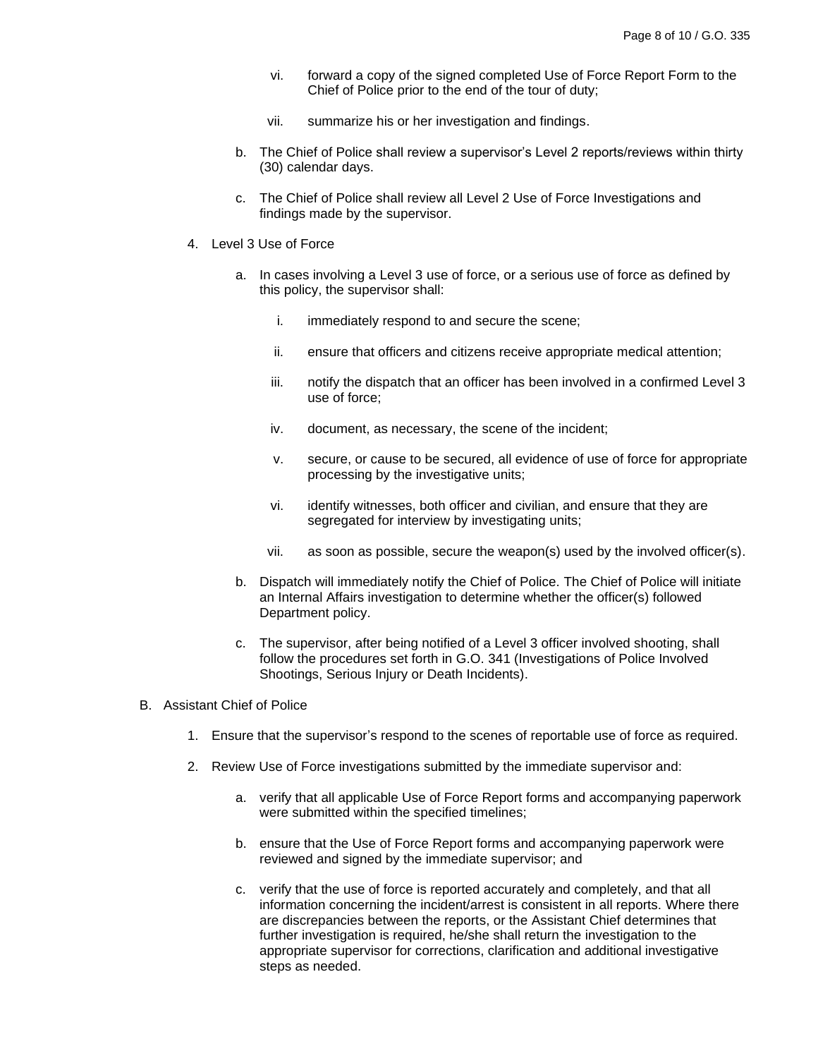- vi. forward a copy of the signed completed Use of Force Report Form to the Chief of Police prior to the end of the tour of duty;
- vii. summarize his or her investigation and findings.
- b. The Chief of Police shall review a supervisor's Level 2 reports/reviews within thirty (30) calendar days.
- c. The Chief of Police shall review all Level 2 Use of Force Investigations and findings made by the supervisor.
- 4. Level 3 Use of Force
	- a. In cases involving a Level 3 use of force, or a serious use of force as defined by this policy, the supervisor shall:
		- i. immediately respond to and secure the scene;
		- ii. ensure that officers and citizens receive appropriate medical attention;
		- iii. notify the dispatch that an officer has been involved in a confirmed Level 3 use of force;
		- iv. document, as necessary, the scene of the incident;
		- v. secure, or cause to be secured, all evidence of use of force for appropriate processing by the investigative units;
		- vi. identify witnesses, both officer and civilian, and ensure that they are segregated for interview by investigating units;
		- vii. as soon as possible, secure the weapon(s) used by the involved officer(s).
	- b. Dispatch will immediately notify the Chief of Police. The Chief of Police will initiate an Internal Affairs investigation to determine whether the officer(s) followed Department policy.
	- c. The supervisor, after being notified of a Level 3 officer involved shooting, shall follow the procedures set forth in G.O. 341 (Investigations of Police Involved Shootings, Serious Injury or Death Incidents).
- B. Assistant Chief of Police
	- 1. Ensure that the supervisor's respond to the scenes of reportable use of force as required.
	- 2. Review Use of Force investigations submitted by the immediate supervisor and:
		- a. verify that all applicable Use of Force Report forms and accompanying paperwork were submitted within the specified timelines;
		- b. ensure that the Use of Force Report forms and accompanying paperwork were reviewed and signed by the immediate supervisor; and
		- c. verify that the use of force is reported accurately and completely, and that all information concerning the incident/arrest is consistent in all reports. Where there are discrepancies between the reports, or the Assistant Chief determines that further investigation is required, he/she shall return the investigation to the appropriate supervisor for corrections, clarification and additional investigative steps as needed.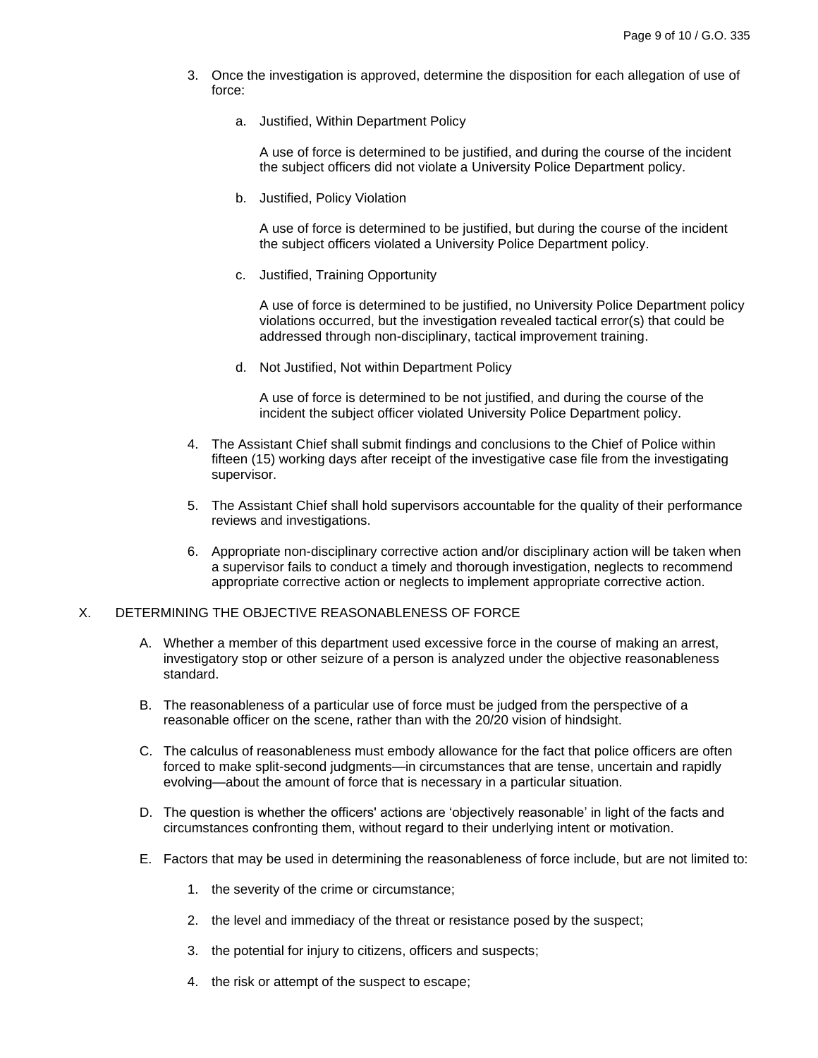- 3. Once the investigation is approved, determine the disposition for each allegation of use of force:
	- a. Justified, Within Department Policy

A use of force is determined to be justified, and during the course of the incident the subject officers did not violate a University Police Department policy.

b. Justified, Policy Violation

A use of force is determined to be justified, but during the course of the incident the subject officers violated a University Police Department policy.

c. Justified, Training Opportunity

A use of force is determined to be justified, no University Police Department policy violations occurred, but the investigation revealed tactical error(s) that could be addressed through non-disciplinary, tactical improvement training.

d. Not Justified, Not within Department Policy

A use of force is determined to be not justified, and during the course of the incident the subject officer violated University Police Department policy.

- 4. The Assistant Chief shall submit findings and conclusions to the Chief of Police within fifteen (15) working days after receipt of the investigative case file from the investigating supervisor.
- 5. The Assistant Chief shall hold supervisors accountable for the quality of their performance reviews and investigations.
- 6. Appropriate non-disciplinary corrective action and/or disciplinary action will be taken when a supervisor fails to conduct a timely and thorough investigation, neglects to recommend appropriate corrective action or neglects to implement appropriate corrective action.
- X. DETERMINING THE OBJECTIVE REASONABLENESS OF FORCE
	- A. Whether a member of this department used excessive force in the course of making an arrest, investigatory stop or other seizure of a person is analyzed under the objective reasonableness standard.
	- B. The reasonableness of a particular use of force must be judged from the perspective of a reasonable officer on the scene, rather than with the 20/20 vision of hindsight.
	- C. The calculus of reasonableness must embody allowance for the fact that police officers are often forced to make split-second judgments—in circumstances that are tense, uncertain and rapidly evolving—about the amount of force that is necessary in a particular situation.
	- D. The question is whether the officers' actions are 'objectively reasonable' in light of the facts and circumstances confronting them, without regard to their underlying intent or motivation.
	- E. Factors that may be used in determining the reasonableness of force include, but are not limited to:
		- 1. the severity of the crime or circumstance;
		- 2. the level and immediacy of the threat or resistance posed by the suspect;
		- 3. the potential for injury to citizens, officers and suspects;
		- 4. the risk or attempt of the suspect to escape;